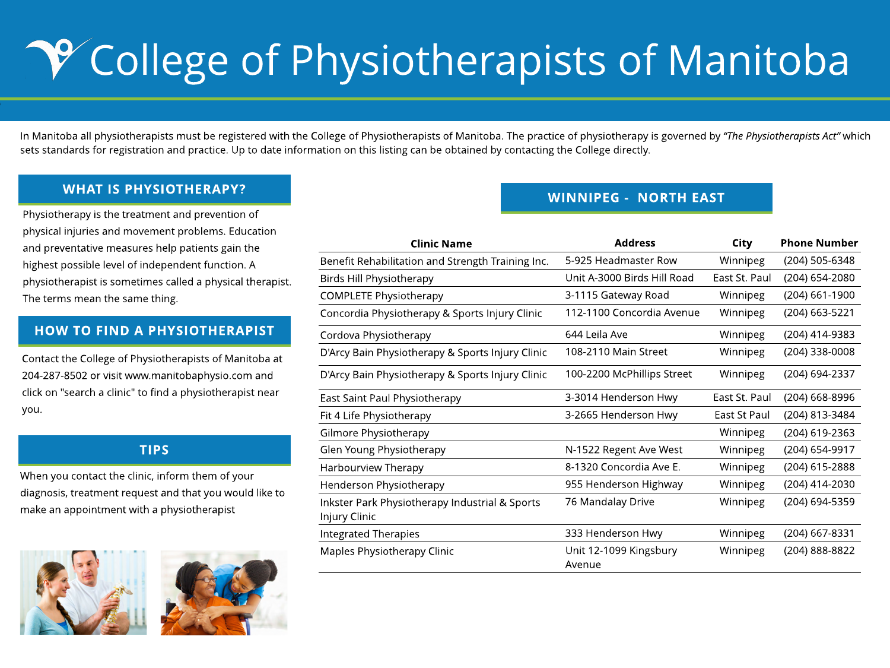g

## WHAT IS PHYSIOTHERAPY?

## TIPS

Physiotherapy is the treatment and prevention of physical injuries and movement problems. Education and preventative measures help patients gain the highest possible level of independent function. A physiotherapist is sometimes called a physical therapist. The terms mean the same thing.

## HOW TO FIND A PHYSIOTHERAPIST

Contact the College of Physiotherapists of Manitoba at 204-287-8502 or visit www.manitobaphysio.com and click on "search a clinic" to find a physiotherapist near you.

In Manitoba all physiotherapists must be registered with the College of Physiotherapists of Manitoba. The practice of physiotherapy is governed by "The Physiotherapists Act" which sets standards for registration and practice. Up to date information on this listing can be obtained by contacting the College directly.

When you contact the clinic, inform them of your diagnosis, treatment request and that you would like to make an appointment with a physiotherapist





# **PY College of Physiotherapists of Manitoba**

- 
- 

Benefit Rehabilitation and Strei

Birds Hill Physiotherapy

COMPLETE Physiotherapy

Concordia Physiotherapy & Sports International Concordia Physiotherapy & Sports

Cordova Physiotherapy

D'Arcy Bain Physiotherapy & Sports

D'Arcy Bain Physiotherapy & Sports

East Saint Paul Physiotherapy Fit 4 Life Physiotherapy Gilmore Physiotherapy Glen Young Physiotherapy Harbourview Therapy Henderson Physiotherapy Inkster Park Physiotherapy Ind Injury Clinic Integrated Therapies Maples Physiotherapy Clinic

### WINNIPEG - NORTH EAST

| <b>Clinic Name</b>            | <b>Address</b>                   | <b>City</b>         | <b>Phone Number</b> |
|-------------------------------|----------------------------------|---------------------|---------------------|
| on and Strength Training Inc. | 5-925 Headmaster Row             | Winnipeg            | $(204)$ 505-6348    |
| erapy                         | Unit A-3000 Birds Hill Road      | East St. Paul       | $(204) 654 - 2080$  |
| herapy                        | 3-1115 Gateway Road              | Winnipeg            | $(204)$ 661-1900    |
| erapy & Sports Injury Clinic  | 112-1100 Concordia Avenue        | Winnipeg            | $(204)$ 663-5221    |
| rapy                          | 644 Leila Ave                    | Winnipeg            | $(204)$ 414-9383    |
| herapy & Sports Injury Clinic | 108-2110 Main Street             | Winnipeg            | $(204)$ 338-0008    |
| herapy & Sports Injury Clinic | 100-2200 McPhillips Street       | Winnipeg            | $(204) 694 - 2337$  |
| siotherapy                    | 3-3014 Henderson Hwy             | East St. Paul       | $(204)$ 668-8996    |
| rapy                          | 3-2665 Henderson Hwy             | <b>East St Paul</b> | $(204) 813 - 3484$  |
| apy                           |                                  | Winnipeg            | $(204)$ 619-2363    |
| cherapy:                      | N-1522 Regent Ave West           | Winnipeg            | $(204)$ 654-9917    |
| ipy                           | 8-1320 Concordia Ave E.          | Winnipeg            | $(204)$ 615-2888    |
| herapy                        | 955 Henderson Highway            | Winnipeg            | $(204)$ 414-2030    |
| therapy Industrial & Sports   | 76 Mandalay Drive                | Winnipeg            | $(204)$ 694-5359    |
| <b>2S</b>                     | 333 Henderson Hwy                | Winnipeg            | $(204)$ 667-8331    |
| apy Clinic                    | Unit 12-1099 Kingsbury<br>Avenue | Winnipeg            | (204) 888-8822      |
|                               |                                  |                     |                     |